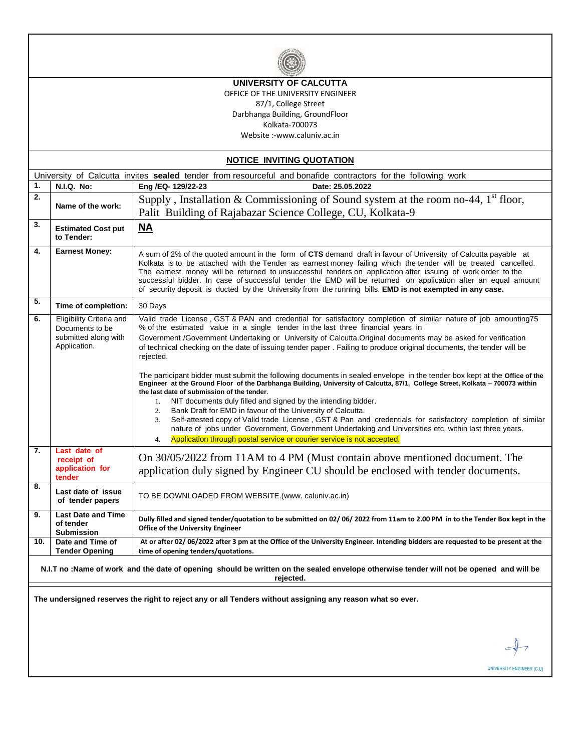

### **UNIVERSITY OF CALCUTTA**

OFFICE OF THE UNIVERSITY ENGINEER

87/1, College Street Darbhanga Building, GroundFloor

Kolkata-700073

Website :-www.caluniv.ac.in

| <b>NOTICE INVITING QUOTATION</b>                                                                                                                     |                                                                                     |                                                                                                                                                                                                                                                                                                                                                                                                                                                                                                                                                                                                                                                                                                                                                                                                                                                                                                                                                                                                                                                                                                                                                                                                                                 |  |  |  |  |  |  |
|------------------------------------------------------------------------------------------------------------------------------------------------------|-------------------------------------------------------------------------------------|---------------------------------------------------------------------------------------------------------------------------------------------------------------------------------------------------------------------------------------------------------------------------------------------------------------------------------------------------------------------------------------------------------------------------------------------------------------------------------------------------------------------------------------------------------------------------------------------------------------------------------------------------------------------------------------------------------------------------------------------------------------------------------------------------------------------------------------------------------------------------------------------------------------------------------------------------------------------------------------------------------------------------------------------------------------------------------------------------------------------------------------------------------------------------------------------------------------------------------|--|--|--|--|--|--|
| University of Calcutta invites sealed tender from resourceful and bonafide contractors for the following work                                        |                                                                                     |                                                                                                                                                                                                                                                                                                                                                                                                                                                                                                                                                                                                                                                                                                                                                                                                                                                                                                                                                                                                                                                                                                                                                                                                                                 |  |  |  |  |  |  |
| 1.                                                                                                                                                   | <b>N.I.Q. No:</b>                                                                   | Eng /EQ-129/22-23<br>Date: 25.05.2022                                                                                                                                                                                                                                                                                                                                                                                                                                                                                                                                                                                                                                                                                                                                                                                                                                                                                                                                                                                                                                                                                                                                                                                           |  |  |  |  |  |  |
| $\overline{2}$ .                                                                                                                                     | Name of the work:                                                                   | Supply, Installation & Commissioning of Sound system at the room no-44, $1st$ floor,<br>Palit Building of Rajabazar Science College, CU, Kolkata-9                                                                                                                                                                                                                                                                                                                                                                                                                                                                                                                                                                                                                                                                                                                                                                                                                                                                                                                                                                                                                                                                              |  |  |  |  |  |  |
| 3.                                                                                                                                                   | <b>Estimated Cost put</b><br>to Tender:                                             | $\overline{\mathsf{NA}}$                                                                                                                                                                                                                                                                                                                                                                                                                                                                                                                                                                                                                                                                                                                                                                                                                                                                                                                                                                                                                                                                                                                                                                                                        |  |  |  |  |  |  |
| 4.                                                                                                                                                   | <b>Earnest Money:</b>                                                               | A sum of 2% of the quoted amount in the form of CTS demand draft in favour of University of Calcutta payable at<br>Kolkata is to be attached with the Tender as earnest money failing which the tender will be treated cancelled.<br>The earnest money will be returned to unsuccessful tenders on application after issuing of work order to the<br>successful bidder. In case of successful tender the EMD will be returned on application after an equal amount<br>of security deposit is ducted by the University from the running bills. <b>EMD is not exempted in any case.</b>                                                                                                                                                                                                                                                                                                                                                                                                                                                                                                                                                                                                                                           |  |  |  |  |  |  |
| 5.                                                                                                                                                   | Time of completion:                                                                 | 30 Days                                                                                                                                                                                                                                                                                                                                                                                                                                                                                                                                                                                                                                                                                                                                                                                                                                                                                                                                                                                                                                                                                                                                                                                                                         |  |  |  |  |  |  |
| 6.                                                                                                                                                   | Eligibility Criteria and<br>Documents to be<br>submitted along with<br>Application. | Valid trade License, GST & PAN and credential for satisfactory completion of similar nature of job amounting75<br>% of the estimated value in a single tender in the last three financial years in<br>Government /Government Undertaking or University of Calcutta. Original documents may be asked for verification<br>of technical checking on the date of issuing tender paper. Failing to produce original documents, the tender will be<br>rejected.<br>The participant bidder must submit the following documents in sealed envelope in the tender box kept at the Office of the<br>Engineer at the Ground Floor of the Darbhanga Building, University of Calcutta, 87/1, College Street, Kolkata - 700073 within<br>the last date of submission of the tender.<br>NIT documents duly filled and signed by the intending bidder.<br>1<br>Bank Draft for EMD in favour of the University of Calcutta.<br>2.<br>Self-attested copy of Valid trade License, GST & Pan and credentials for satisfactory completion of similar<br>3.<br>nature of jobs under Government, Government Undertaking and Universities etc. within last three years.<br>Application through postal service or courier service is not accepted.<br>4. |  |  |  |  |  |  |
| 7.                                                                                                                                                   | Last date of<br>receipt of<br>application for<br>tender                             | On 30/05/2022 from 11AM to 4 PM (Must contain above mentioned document. The<br>application duly signed by Engineer CU should be enclosed with tender documents.                                                                                                                                                                                                                                                                                                                                                                                                                                                                                                                                                                                                                                                                                                                                                                                                                                                                                                                                                                                                                                                                 |  |  |  |  |  |  |
| 8.                                                                                                                                                   | Last date of issue<br>of tender papers                                              | TO BE DOWNLOADED FROM WEBSITE.(www. caluniv.ac.in)                                                                                                                                                                                                                                                                                                                                                                                                                                                                                                                                                                                                                                                                                                                                                                                                                                                                                                                                                                                                                                                                                                                                                                              |  |  |  |  |  |  |
| 9.                                                                                                                                                   | <b>Last Date and Time</b><br>of tender<br><b>Submission</b>                         | Dully filled and signed tender/quotation to be submitted on 02/06/2022 from 11am to 2.00 PM in to the Tender Box kept in the<br><b>Office of the University Engineer</b>                                                                                                                                                                                                                                                                                                                                                                                                                                                                                                                                                                                                                                                                                                                                                                                                                                                                                                                                                                                                                                                        |  |  |  |  |  |  |
| 10.                                                                                                                                                  | Date and Time of<br><b>Tender Opening</b>                                           | At or after 02/06/2022 after 3 pm at the Office of the University Engineer. Intending bidders are requested to be present at the<br>time of opening tenders/quotations.                                                                                                                                                                                                                                                                                                                                                                                                                                                                                                                                                                                                                                                                                                                                                                                                                                                                                                                                                                                                                                                         |  |  |  |  |  |  |
| N.I.T no :Name of work and the date of opening should be written on the sealed envelope otherwise tender will not be opened and will be<br>rejected. |                                                                                     |                                                                                                                                                                                                                                                                                                                                                                                                                                                                                                                                                                                                                                                                                                                                                                                                                                                                                                                                                                                                                                                                                                                                                                                                                                 |  |  |  |  |  |  |
| The undersigned reserves the right to reject any or all Tenders without assigning any reason what so ever.                                           |                                                                                     |                                                                                                                                                                                                                                                                                                                                                                                                                                                                                                                                                                                                                                                                                                                                                                                                                                                                                                                                                                                                                                                                                                                                                                                                                                 |  |  |  |  |  |  |

UNIVERSITY ENGINEER (C.U)

 $\overline{C}$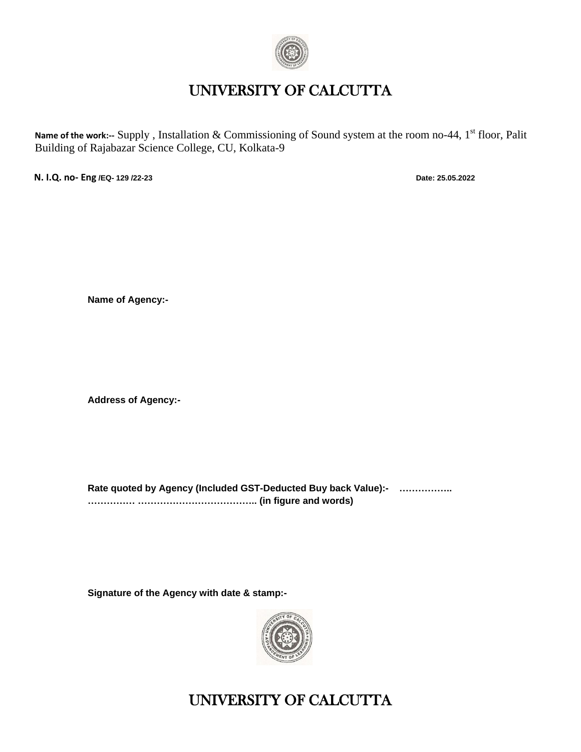

## UNIVERSITY OF CALCUTTA

Name of the work:-- Supply, Installation & Commissioning of Sound system at the room no-44, 1<sup>st</sup> floor, Palit Building of Rajabazar Science College, CU, Kolkata-9

**N. I.Q. no- Eng /EQ- 129 /22-23 Date: 25.05.2022**

**Name of Agency:-**

**Address of Agency:-**

**Rate quoted by Agency (Included GST-Deducted Buy back Value):- …………….. …………… ……………………………….. (in figure and words)**

**Signature of the Agency with date & stamp:-**



# UNIVERSITY OF CALCUTTA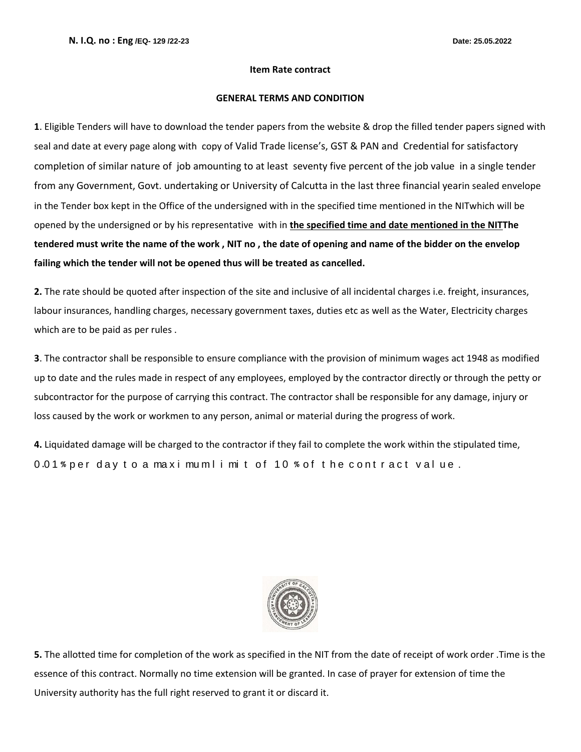#### **Item Rate contract**

#### **GENERAL TERMS AND CONDITION**

**1**. Eligible Tenders will have to download the tender papers from the website & drop the filled tender papers signed with seal and date at every page along with copy of Valid Trade license's, GST & PAN and Credential for satisfactory completion of similar nature of job amounting to at least seventy five percent of the job value in a single tender from any Government, Govt. undertaking or University of Calcutta in the last three financial yearin sealed envelope in the Tender box kept in the Office of the undersigned with in the specified time mentioned in the NITwhich will be opened by the undersigned or by his representative with in **the specified time and date mentioned in the NITThe tendered must write the name of the work , NIT no , the date of opening and name of the bidder on the envelop failing which the tender will not be opened thus will be treated as cancelled.**

**2.** The rate should be quoted after inspection of the site and inclusive of all incidental charges i.e. freight, insurances, labour insurances, handling charges, necessary government taxes, duties etc as well as the Water, Electricity charges which are to be paid as per rules .

**3**. The contractor shall be responsible to ensure compliance with the provision of minimum wages act 1948 as modified up to date and the rules made in respect of any employees, employed by the contractor directly or through the petty or subcontractor for the purpose of carrying this contract. The contractor shall be responsible for any damage, injury or loss caused by the work or workmen to any person, animal or material during the progress of work.

**4.** Liquidated damage will be charged to the contractor if they fail to complete the work within the stipulated time, 0.01% per day to a maximumlimit of 10 % of the contract value.



**5.** The allotted time for completion of the work as specified in the NIT from the date of receipt of work order .Time is the essence of this contract. Normally no time extension will be granted. In case of prayer for extension of time the University authority has the full right reserved to grant it or discard it.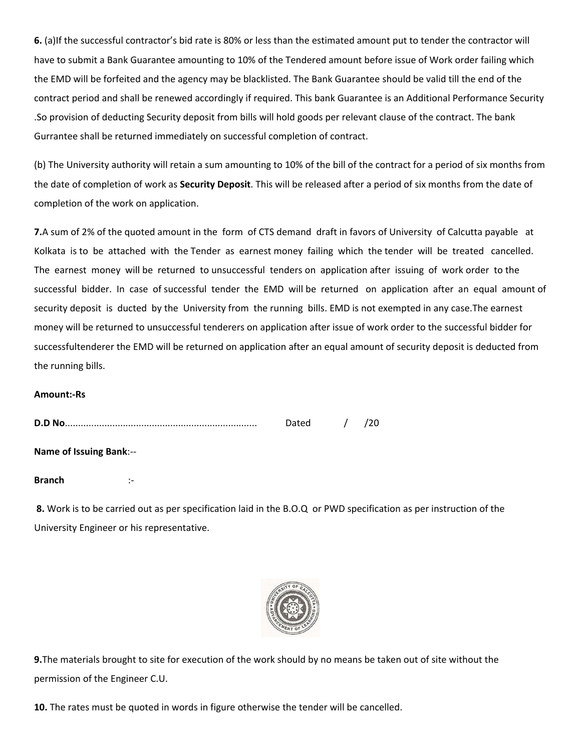**6.** (a)If the successful contractor's bid rate is 80% or less than the estimated amount put to tender the contractor will have to submit a Bank Guarantee amounting to 10% of the Tendered amount before issue of Work order failing which the EMD will be forfeited and the agency may be blacklisted. The Bank Guarantee should be valid till the end of the contract period and shall be renewed accordingly if required. This bank Guarantee is an Additional Performance Security .So provision of deducting Security deposit from bills will hold goods per relevant clause of the contract. The bank Gurrantee shall be returned immediately on successful completion of contract.

(b) The University authority will retain a sum amounting to 10% of the bill of the contract for a period of six months from the date of completion of work as **Security Deposit**. This will be released after a period of six months from the date of completion of the work on application.

**7.**A sum of 2% of the quoted amount in the form of CTS demand draft in favors of University of Calcutta payable at Kolkata is to be attached with the Tender as earnest money failing which the tender will be treated cancelled. The earnest money will be returned to unsuccessful tenders on application after issuing of work order to the successful bidder. In case of successful tender the EMD will be returned on application after an equal amount of security deposit is ducted by the University from the running bills. EMD is not exempted in any case.The earnest money will be returned to unsuccessful tenderers on application after issue of work order to the successful bidder for successfultenderer the EMD will be returned on application after an equal amount of security deposit is deducted from the running bills.

### **Amount:-Rs**

|                         | Dated | $\frac{1}{2}$ | /20 |
|-------------------------|-------|---------------|-----|
| Name of Issuing Bank:-- |       |               |     |
| <b>Branch</b>           |       |               |     |

**8.** Work is to be carried out as per specification laid in the B.O.Q or PWD specification as per instruction of the University Engineer or his representative.



**9.**The materials brought to site for execution of the work should by no means be taken out of site without the permission of the Engineer C.U.

**10.** The rates must be quoted in words in figure otherwise the tender will be cancelled.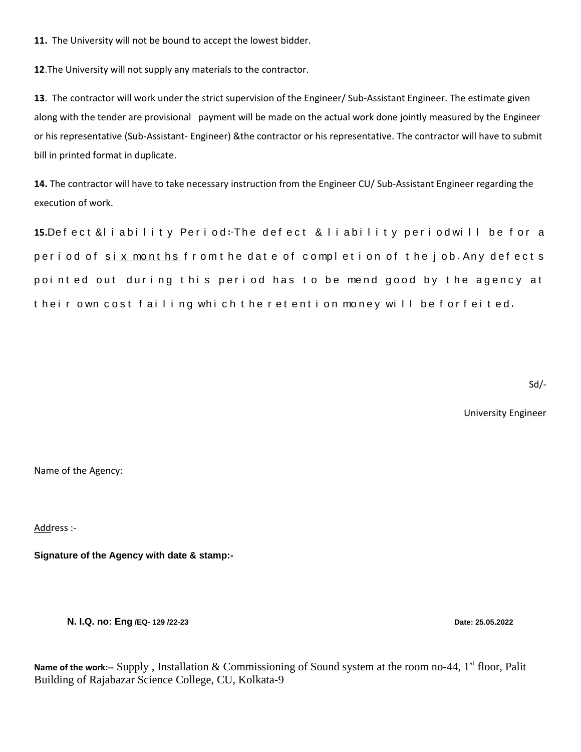**11.** The University will not be bound to accept the lowest bidder.

**12**.The University will not supply any materials to the contractor.

**13**. The contractor will work under the strict supervision of the Engineer/ Sub-Assistant Engineer. The estimate given along with the tender are provisional payment will be made on the actual work done jointly measured by the Engineer or his representative (Sub-Assistant- Engineer) &the contractor or his representative. The contractor will have to submit bill in printed format in duplicate.

**14.** The contractor will have to take necessary instruction from the Engineer CU/ Sub-Assistant Engineer regarding the execution of work.

15.Defect &liability Period: The defect & liability period will be for a period of six months from the date of completion of the job. Any defects pointed out during this period has to be mend good by the agency at t heir own cost failing which the retention money will be forfeited.

Sd/-

University Engineer

Name of the Agency:

Address :-

**Signature of the Agency with date & stamp:-**

**N. I.Q. no: Eng /EQ- 129 /22-23 Date: 25.05.2022**

Name of the work:-- Supply, Installation & Commissioning of Sound system at the room no-44, 1<sup>st</sup> floor, Palit Building of Rajabazar Science College, CU, Kolkata-9